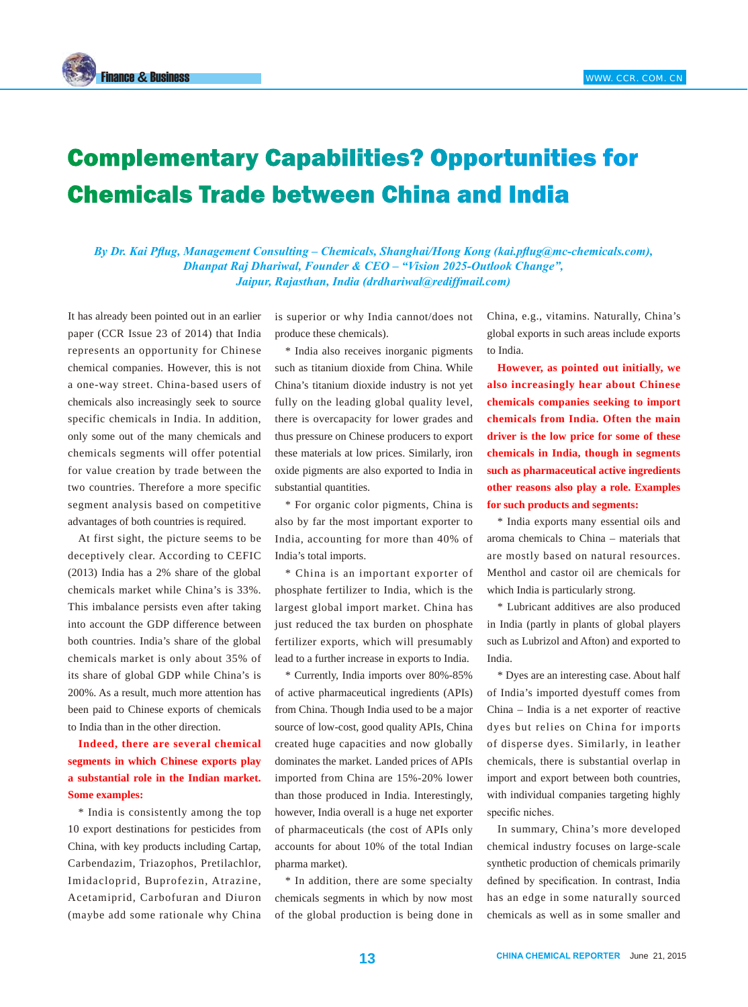

## Complementary Capabilities? Opportunities for Chemicals Trade between China and India

*By Dr. Kai Pflug, Management Consulting – Chemicals, Shanghai/Hong Kong (kai.pflug@mc-chemicals.com), Dhanpat Raj Dhariwal, Founder & CEO – "Vision 2025-Outlook Change", Jaipur, Rajasthan, India (drdhariwal@rediffmail.com)*

It has already been pointed out in an earlier paper (CCR Issue 23 of 2014) that India represents an opportunity for Chinese chemical companies. However, this is not a one-way street. China-based users of chemicals also increasingly seek to source specific chemicals in India. In addition, only some out of the many chemicals and chemicals segments will offer potential for value creation by trade between the two countries. Therefore a more specific segment analysis based on competitive advantages of both countries is required.

At first sight, the picture seems to be deceptively clear. According to CEFIC (2013) India has a 2% share of the global chemicals market while China's is 33%. This imbalance persists even after taking into account the GDP difference between both countries. India's share of the global chemicals market is only about 35% of its share of global GDP while China's is 200%. As a result, much more attention has been paid to Chinese exports of chemicals to India than in the other direction.

**Indeed, there are several chemical segments in which Chinese exports play a substantial role in the Indian market. Some examples:**

\* India is consistently among the top 10 export destinations for pesticides from China, with key products including Cartap, Carbendazim, Triazophos, Pretilachlor, Imidacloprid, Buprofezin, Atrazine, Acetamiprid, Carbofuran and Diuron (maybe add some rationale why China

is superior or why India cannot/does not produce these chemicals).

\* India also receives inorganic pigments such as titanium dioxide from China. While China's titanium dioxide industry is not yet fully on the leading global quality level, there is overcapacity for lower grades and thus pressure on Chinese producers to export these materials at low prices. Similarly, iron oxide pigments are also exported to India in substantial quantities.

\* For organic color pigments, China is also by far the most important exporter to India, accounting for more than 40% of India's total imports.

\* China is an important exporter of phosphate fertilizer to India, which is the largest global import market. China has just reduced the tax burden on phosphate fertilizer exports, which will presumably lead to a further increase in exports to India.

\* Currently, India imports over 80%-85% of active pharmaceutical ingredients (APIs) from China. Though India used to be a major source of low-cost, good quality APIs, China created huge capacities and now globally dominates the market. Landed prices of APIs imported from China are 15%-20% lower than those produced in India. Interestingly, however, India overall is a huge net exporter of pharmaceuticals (the cost of APIs only accounts for about 10% of the total Indian pharma market).

\* In addition, there are some specialty chemicals segments in which by now most of the global production is being done in China, e.g., vitamins. Naturally, China's global exports in such areas include exports to India.

**However, as pointed out initially, we also increasingly hear about Chinese chemicals companies seeking to import chemicals from India. Often the main driver is the low price for some of these chemicals in India, though in segments such as pharmaceutical active ingredients other reasons also play a role. Examples for such products and segments:**

\* India exports many essential oils and aroma chemicals to China – materials that are mostly based on natural resources. Menthol and castor oil are chemicals for which India is particularly strong.

\* Lubricant additives are also produced in India (partly in plants of global players such as Lubrizol and Afton) and exported to India.

\* Dyes are an interesting case. About half of India's imported dyestuff comes from China – India is a net exporter of reactive dyes but relies on China for imports of disperse dyes. Similarly, in leather chemicals, there is substantial overlap in import and export between both countries, with individual companies targeting highly specific niches.

In summary, China's more developed chemical industry focuses on large-scale synthetic production of chemicals primarily defined by specification. In contrast, India has an edge in some naturally sourced chemicals as well as in some smaller and